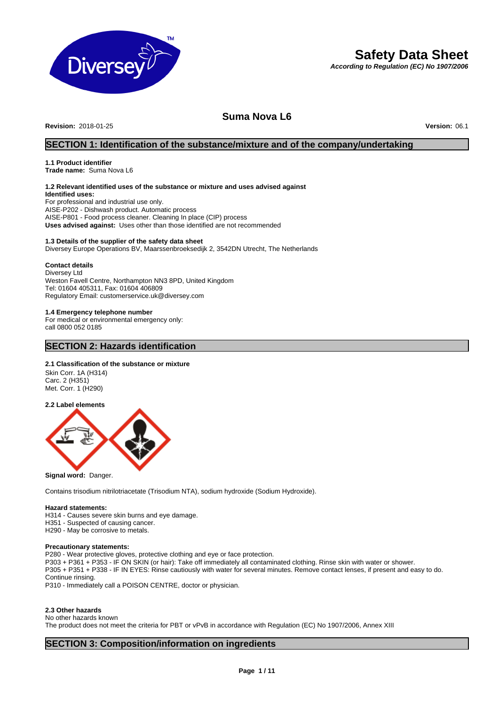

# **Safety Data Sheet**

*According to Regulation (EC) No 1907/2006*

## **Suma Nova L6**

**Revision:** 2018-01-25 **Version:** 06.1

### **SECTION 1: Identification of the substance/mixture and of the company/undertaking**

### **1.1 Product identifier**

**Trade name:** Suma Nova L6

#### **1.2 Relevant identified uses of the substance or mixture and uses advised against Identified uses:**

For professional and industrial use only. AISE-P202 - Dishwash product. Automatic process AISE-P801 - Food process cleaner. Cleaning In place (CIP) process **Uses advised against:** Uses other than those identified are not recommended

#### **1.3 Details of the supplier of the safety data sheet**

Diversey Europe Operations BV, Maarssenbroeksedijk 2, 3542DN Utrecht, The Netherlands

#### **Contact details**

Diversey Ltd Weston Favell Centre, Northampton NN3 8PD, United Kingdom Tel: 01604 405311, Fax: 01604 406809 Regulatory Email: customerservice.uk@diversey.com

### **1.4 Emergency telephone number**

For medical or environmental emergency only: call 0800 052 0185

### **SECTION 2: Hazards identification**

#### **2.1 Classification of the substance or mixture**

Skin Corr. 1A (H314) Carc. 2 (H351) Met. Corr. 1 (H290)

#### **2.2 Label elements**



#### **Signal word:** Danger.

Contains trisodium nitrilotriacetate (Trisodium NTA), sodium hydroxide (Sodium Hydroxide).

#### **Hazard statements:**

H314 - Causes severe skin burns and eye damage. H351 - Suspected of causing cancer.

H290 - May be corrosive to metals.

#### **Precautionary statements:**

P280 - Wear protective gloves, protective clothing and eye or face protection.

P303 + P361 + P353 - IF ON SKIN (or hair): Take off immediately all contaminated clothing. Rinse skin with water or shower.

P305 + P351 + P338 - IF IN EYES: Rinse cautiously with water for several minutes. Remove contact lenses, if present and easy to do. Continue rinsing.

P310 - Immediately call a POISON CENTRE, doctor or physician.

#### **2.3 Other hazards**

No other hazards known The product does not meet the criteria for PBT or vPvB in accordance with Regulation (EC) No 1907/2006, Annex XIII

### **SECTION 3: Composition/information on ingredients**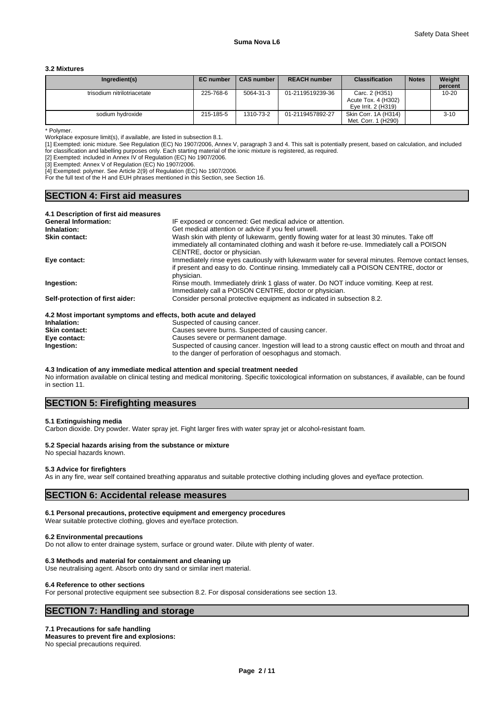## **Suma Nova L6**

#### **3.2 Mixtures**

| Ingredient(s)               | <b>EC</b> number | <b>CAS number</b> | <b>REACH number</b> | <b>Classification</b>                                        | <b>Notes</b> | Weight<br>percent |
|-----------------------------|------------------|-------------------|---------------------|--------------------------------------------------------------|--------------|-------------------|
| trisodium nitrilotriacetate | 225-768-6        | 5064-31-3         | 01-2119519239-36    | Carc. 2 (H351)<br>Acute Tox. 4 (H302)<br>Eye Irrit. 2 (H319) |              | $10 - 20$         |
| sodium hydroxide            | 215-185-5        | 1310-73-2         | 01-2119457892-27    | Skin Corr. 1A (H314)<br>Met. Corr. 1 (H290)                  |              | $3 - 10$          |

\* Polymer.

Workplace exposure limit(s), if available, are listed in subsection 8.1.

[1] Exempted: ionic mixture. See Regulation (EC) No 1907/2006, Annex V, paragraph 3 and 4. This salt is potentially present, based on calculation, and included for classification and labelling purposes only. Each starting material of the ionic mixture is registered, as required.

[2] Exempted: included in Annex IV of Regulation (EC) No 1907/2006.

[3] Exempted: Annex V of Regulation (EC) No 1907/2006.

[4] Exempted: polymer. See Article 2(9) of Regulation (EC) No 1907/2006.

For the full text of the H and EUH phrases mentioned in this Section, see Section 16.

### **SECTION 4: First aid measures**

| 4.1 Description of first aid measures                           |                                                                                                                            |
|-----------------------------------------------------------------|----------------------------------------------------------------------------------------------------------------------------|
| <b>General Information:</b>                                     | IF exposed or concerned: Get medical advice or attention.                                                                  |
| Inhalation:                                                     | Get medical attention or advice if you feel unwell.                                                                        |
| <b>Skin contact:</b>                                            | Wash skin with plenty of lukewarm, gently flowing water for at least 30 minutes. Take off                                  |
|                                                                 | immediately all contaminated clothing and wash it before re-use. Immediately call a POISON<br>CENTRE, doctor or physician. |
| Eye contact:                                                    | Immediately rinse eyes cautiously with lukewarm water for several minutes. Remove contact lenses,                          |
|                                                                 | if present and easy to do. Continue rinsing. Immediately call a POISON CENTRE, doctor or<br>physician.                     |
| Ingestion:                                                      | Rinse mouth. Immediately drink 1 glass of water. Do NOT induce vomiting. Keep at rest.                                     |
|                                                                 | Immediately call a POISON CENTRE, doctor or physician.                                                                     |
| Self-protection of first aider:                                 | Consider personal protective equipment as indicated in subsection 8.2.                                                     |
| 4.2 Most important symptoms and effects, both acute and delayed |                                                                                                                            |
|                                                                 |                                                                                                                            |

| <b>FILE INTO A HILPOTTAILLE SYTTPLOTIES AND CHOCLES, DOLLI ACALC AND GOTAY CO</b> |                                                                                                     |
|-----------------------------------------------------------------------------------|-----------------------------------------------------------------------------------------------------|
| Inhalation:                                                                       | Suspected of causing cancer.                                                                        |
| <b>Skin contact:</b>                                                              | Causes severe burns. Suspected of causing cancer.                                                   |
| Eve contact:                                                                      | Causes severe or permanent damage.                                                                  |
| Ingestion:                                                                        | Suspected of causing cancer. Ingestion will lead to a strong caustic effect on mouth and throat and |
|                                                                                   | to the danger of perforation of oesophagus and stomach.                                             |

#### **4.3 Indication of any immediate medical attention and special treatment needed**

No information available on clinical testing and medical monitoring. Specific toxicological information on substances, if available, can be found in section 11.

### **SECTION 5: Firefighting measures**

#### **5.1 Extinguishing media**

Carbon dioxide. Dry powder. Water spray jet. Fight larger fires with water spray jet or alcohol-resistant foam.

#### **5.2 Special hazards arising from the substance or mixture** No special hazards known.

### **5.3 Advice for firefighters**

As in any fire, wear self contained breathing apparatus and suitable protective clothing including gloves and eye/face protection.

### **SECTION 6: Accidental release measures**

#### **6.1 Personal precautions, protective equipment and emergency procedures**

Wear suitable protective clothing, gloves and eye/face protection.

#### **6.2 Environmental precautions**

Do not allow to enter drainage system, surface or ground water. Dilute with plenty of water.

#### **6.3 Methods and material for containment and cleaning up**

Use neutralising agent. Absorb onto dry sand or similar inert material.

#### **6.4 Reference to other sections**

For personal protective equipment see subsection 8.2. For disposal considerations see section 13.

### **SECTION 7: Handling and storage**

#### **7.1 Precautions for safe handling**

**Measures to prevent fire and explosions:** No special precautions required.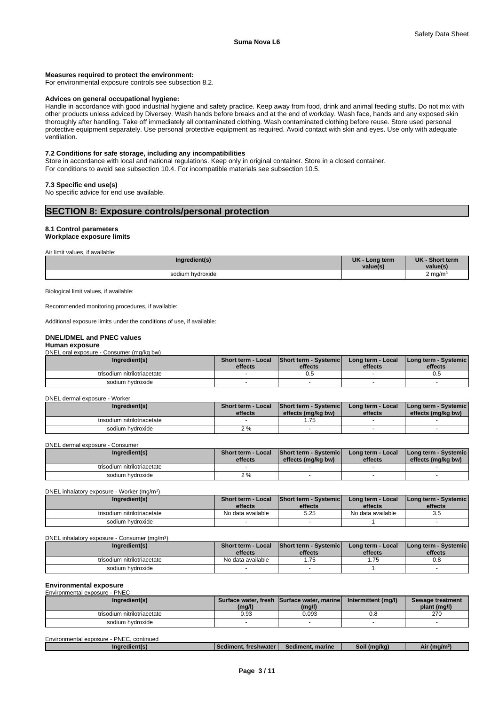#### **Measures required to protect the environment:**

For environmental exposure controls see subsection 8.2.

#### **Advices on general occupational hygiene:**

Handle in accordance with good industrial hygiene and safety practice. Keep away from food, drink and animal feeding stuffs. Do not mix with other products unless adviced by Diversey. Wash hands before breaks and at the end of workday. Wash face, hands and any exposed skin thoroughly after handling. Take off immediately all contaminated clothing. Wash contaminated clothing before reuse. Store used personal protective equipment separately. Use personal protective equipment as required. Avoid contact with skin and eyes. Use only with adequate ventilation.

#### **7.2 Conditions for safe storage, including any incompatibilities**

Store in accordance with local and national regulations. Keep only in original container. Store in a closed container. For conditions to avoid see subsection 10.4. For incompatible materials see subsection 10.5.

#### **7.3 Specific end use(s)**

No specific advice for end use available.

### **SECTION 8: Exposure controls/personal protection**

#### **8.1 Control parameters Workplace exposure limits**

Air limit values, if available:

| Ingredient(s)    | <b>UK</b><br>Long term<br>value(s | <b>UK</b><br><b>Short term</b><br>value(s) |  |
|------------------|-----------------------------------|--------------------------------------------|--|
| sodium hydroxide |                                   | 2 ma/m<br>-                                |  |

Biological limit values, if available:

Recommended monitoring procedures, if available:

Additional exposure limits under the conditions of use, if available:

### **DNEL/DMEL and PNEC values**

**Human exposure** DNEL oral exposure - Consumer (mg/kg bw)

| Ingredient(s)               | <b>Short term - Local</b><br>effects | <b>Short term - Systemic</b><br>effects | Long term - Local<br>effects | <b>I Long term - Systemic I</b><br>effects |
|-----------------------------|--------------------------------------|-----------------------------------------|------------------------------|--------------------------------------------|
| trisodium nitrilotriacetate |                                      | v.J                                     |                              | U.O                                        |
| sodium hydroxide            |                                      |                                         |                              |                                            |

#### DNEL dermal exposure - Worker

| Ingredient(s)               | Short term - Local<br>effects | <b>Short term - Systemic</b><br>effects (mg/kg bw) | 'Long term - Local<br>effects | <b>I Long term - Systemic I</b><br>effects (mg/kg bw) |
|-----------------------------|-------------------------------|----------------------------------------------------|-------------------------------|-------------------------------------------------------|
| trisodium nitrilotriacetate |                               | $-$<br>ن ، ، ا                                     |                               |                                                       |
| sodium hydroxide            | 2%                            |                                                    |                               |                                                       |

DNEL dermal exposure - Consumer

| Ingredient(s)               | <b>Short term - Local</b><br>effects | <b>Short term - Systemicl</b><br>effects (mg/kg bw) | Long term - Local<br>effects | I Long term - Systemic I<br>effects (mg/kg bw) |  |
|-----------------------------|--------------------------------------|-----------------------------------------------------|------------------------------|------------------------------------------------|--|
| trisodium nitrilotriacetate |                                      |                                                     |                              |                                                |  |
| sodium hydroxide            | ? %                                  |                                                     |                              |                                                |  |

DNEL inhalatory exposure - Worker (mg/m<sup>3</sup> )

| Ingredient(s)               | Short term - Local<br>effects | <b>Short term - Systemic</b><br>effects | Long term - Local<br>effects | <b>I Long term - Systemic I</b><br>effects |
|-----------------------------|-------------------------------|-----------------------------------------|------------------------------|--------------------------------------------|
| trisodium nitrilotriacetate | No data available             | 5.25                                    | No data available            | ن.ن                                        |
| sodium hvdroxide            |                               |                                         |                              |                                            |

DNEL inhalatory exposure - Consumer (mg/m<sup>3</sup> )

| Ingredient(s)               | <b>Short term - Local</b><br>effects | <b>Short term - Systemic</b><br>effects | Long term - Local<br>effects | I Long term - Systemic<br>effects |
|-----------------------------|--------------------------------------|-----------------------------------------|------------------------------|-----------------------------------|
| trisodium nitrilotriacetate | No data available                    | 75<br>ن ان ا                            | 75                           | 0.8                               |
| sodium hydroxide            |                                      |                                         |                              |                                   |

#### **Environmental exposure**

Environmental exposure - PNEC

| Ingredient(s)               |        | Surface water, fresh Surface water, marine | Intermittent (mg/l) | Sewage treatment |
|-----------------------------|--------|--------------------------------------------|---------------------|------------------|
|                             | (mg/l) | (mg/l)                                     |                     | plant (mg/l)     |
| trisodium nitrilotriacetate | 0.93   | 0.093                                      | v.o                 | 270              |
| sodium hydroxide            |        |                                            |                     |                  |

```
Environmental exposure - PNEC, continued
```

| <b>Teshwater</b> | marine<br>Sediment. | . |  |
|------------------|---------------------|---|--|
|                  |                     |   |  |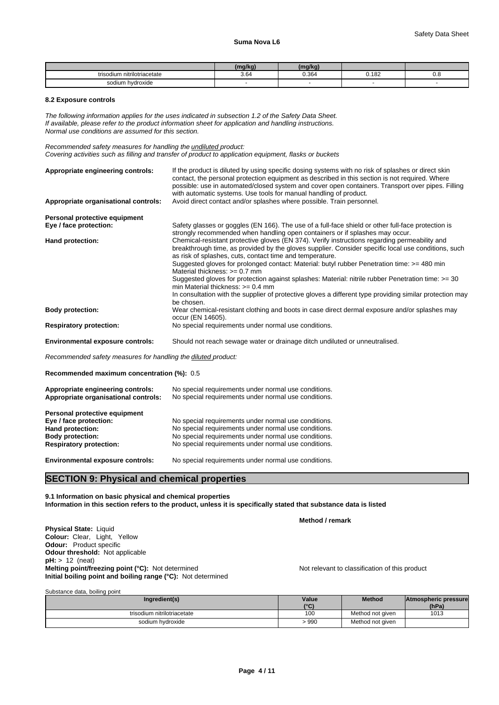|                             | $\sim$ |       |       |     |  |
|-----------------------------|--------|-------|-------|-----|--|
| trisodium nitrilotriacetate | 3.64   | 0.364 | 0.182 | 0.8 |  |
| sodium hvdroxide            |        |       |       |     |  |

#### **8.2 Exposure controls**

*The following information applies for the uses indicated in subsection 1.2 of the Safety Data Sheet. If available, please refer to the product information sheet for application and handling instructions. Normal use conditions are assumed for this section.*

*Recommended safety measures for handling the undiluted product:*

*Covering activities such as filling and transfer of product to application equipment, flasks or buckets*

| Appropriate engineering controls:    | If the product is diluted by using specific dosing systems with no risk of splashes or direct skin<br>contact, the personal protection equipment as described in this section is not required. Where<br>possible: use in automated/closed system and cover open containers. Transport over pipes. Filling<br>with automatic systems. Use tools for manual handling of product. |
|--------------------------------------|--------------------------------------------------------------------------------------------------------------------------------------------------------------------------------------------------------------------------------------------------------------------------------------------------------------------------------------------------------------------------------|
| Appropriate organisational controls: | Avoid direct contact and/or splashes where possible. Train personnel.                                                                                                                                                                                                                                                                                                          |
| Personal protective equipment        |                                                                                                                                                                                                                                                                                                                                                                                |
| Eye / face protection:               | Safety glasses or goggles (EN 166). The use of a full-face shield or other full-face protection is<br>strongly recommended when handling open containers or if splashes may occur.                                                                                                                                                                                             |
| Hand protection:                     | Chemical-resistant protective gloves (EN 374). Verify instructions regarding permeability and<br>breakthrough time, as provided by the gloves supplier. Consider specific local use conditions, such<br>as risk of splashes, cuts, contact time and temperature.                                                                                                               |
|                                      | Suggested gloves for prolonged contact: Material: butyl rubber Penetration time: >= 480 min<br>Material thickness: $>= 0.7$ mm                                                                                                                                                                                                                                                 |
|                                      | Suggested gloves for protection against splashes: Material: nitrile rubber Penetration time: >= 30<br>min Material thickness: $\geq 0.4$ mm                                                                                                                                                                                                                                    |
|                                      | In consultation with the supplier of protective gloves a different type providing similar protection may<br>be chosen.                                                                                                                                                                                                                                                         |
| <b>Body protection:</b>              | Wear chemical-resistant clothing and boots in case direct dermal exposure and/or splashes may<br>occur (EN 14605).                                                                                                                                                                                                                                                             |
| <b>Respiratory protection:</b>       | No special requirements under normal use conditions.                                                                                                                                                                                                                                                                                                                           |
|                                      |                                                                                                                                                                                                                                                                                                                                                                                |

**Environmental exposure controls:** Should not reach sewage water or drainage ditch undiluted or unneutralised.

*Recommended safety measures for handling the diluted product:*

**Recommended maximum concentration (%):** 0.5

| Appropriate engineering controls:<br>Appropriate organisational controls: | No special requirements under normal use conditions.<br>No special requirements under normal use conditions. |
|---------------------------------------------------------------------------|--------------------------------------------------------------------------------------------------------------|
| Personal protective equipment                                             |                                                                                                              |
| Eye / face protection:                                                    | No special requirements under normal use conditions.                                                         |
| Hand protection:                                                          | No special requirements under normal use conditions.                                                         |
| <b>Body protection:</b>                                                   | No special requirements under normal use conditions.                                                         |
| <b>Respiratory protection:</b>                                            | No special requirements under normal use conditions.                                                         |
|                                                                           |                                                                                                              |

**Environmental exposure controls:** No special requirements under normal use conditions.

### **SECTION 9: Physical and chemical properties**

**9.1 Information on basic physical and chemical properties Information in this section refers to the product, unless it is specifically stated that substance data is listed**

**Method / remark**

**Physical State:** Liquid **Colour:** Clear, Light, Yellow **Odour:** Product specific **Odour threshold:** Not applicable **pH:** > 12 (neat) **Melting point/freezing point (°C):** Not determined Not relevant to classification of this product **Initial boiling point and boiling range (°C):** Not determined

| Substance data, boiling point |       |                  |                      |
|-------------------------------|-------|------------------|----------------------|
| Ingredient(s)                 | Value | <b>Method</b>    | Atmospheric pressure |
|                               | 10(1) |                  | (hPa)                |
| trisodium nitrilotriacetate   | 100   | Method not given | 1013                 |
| sodium hydroxide              | > 990 | Method not given |                      |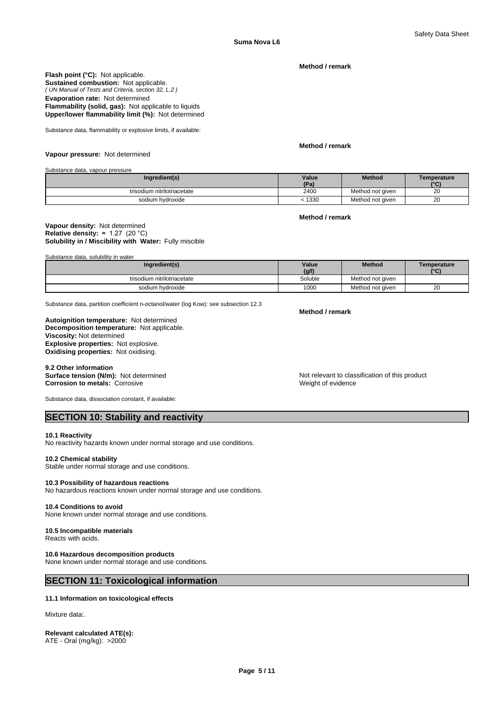**Method / remark**

#### *( UN Manual of Tests and Criteria, section 32, L.2 )* **Flash point (°C):** Not applicable. **Sustained combustion:** Not applicable. **Evaporation rate:** Not determined **Flammability (solid, gas):** Not applicable to liquids **Upper/lower flammability limit (%):** Not determined

Substance data, flammability or explosive limits, if available:

#### **Vapour pressure:** Not determined

**Method / remark**

Substance data, vapour pressure

| Ingredient(s)               | Value | <b>Method</b>    | Temperature  |
|-----------------------------|-------|------------------|--------------|
|                             | (Pa)  |                  | $10^{\circ}$ |
| trisodium nitrilotriacetate | 2400  | Method not given | 20           |
| sodium hydroxide            | 1330  | Method not given | 20           |

#### **Method / remark**

#### **Solubility in / Miscibility with Water:** Fully miscible **Vapour density:** Not determined **Relative density:** ≈1.27(20°C)

Substance data, solubility in water

| Ingredient(s)               | Value   | <b>Method</b>    | Temperature  |
|-----------------------------|---------|------------------|--------------|
|                             | (g/l)   |                  | $10^{\circ}$ |
| trisodium nitrilotriacetate | Soluble | Method not given |              |
| sodium hvdroxide            | 1000    | Method not given | oc<br>zu     |

Substance data, partition coefficient n-octanol/water (log Kow): see subsection 12.3

**Decomposition temperature:** Not applicable. **Autoignition temperature:** Not determined **Viscosity:** Not determined **Explosive properties:** Not explosive. **Oxidising properties:** Not oxidising.

#### **9.2 Other information**

**Corrosion to metals: Corrosive** 

**Surface tension (N/m):** Not determined **Notify 1988** Not relevant to classification of this product Corrosive **Corrosion to metals:** Corrosive **Corrosication** Weight of evidence

Substance data, dissociation constant, if available:

### **SECTION 10: Stability and reactivity**

#### **10.1 Reactivity**

No reactivity hazards known under normal storage and use conditions.

#### **10.2 Chemical stability**

Stable under normal storage and use conditions.

#### **10.3 Possibility of hazardous reactions**

No hazardous reactions known under normal storage and use conditions.

#### **10.4 Conditions to avoid**

None known under normal storage and use conditions.

#### **10.5 Incompatible materials**

Reacts with acids.

### **10.6 Hazardous decomposition products**

None known under normal storage and use conditions.

### **SECTION 11: Toxicological information**

#### **11.1 Information on toxicological effects**

Mixture data:.

### **Relevant calculated ATE(s):**

ATE - Oral (mg/kg): >2000

**Method / remark**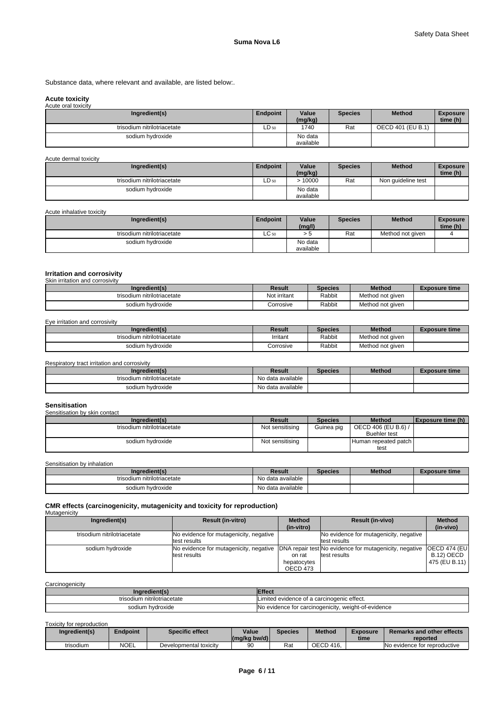Substance data, where relevant and available, are listed below:.

### **Acute toxicity**

Acute oral toxicity

| Ingredient(s)               | <b>Endpoint</b> | Value<br>(mg/kg) | <b>Species</b> | <b>Method</b>     | <b>Exposure</b><br>time (h) |
|-----------------------------|-----------------|------------------|----------------|-------------------|-----------------------------|
| trisodium nitrilotriacetate | ∟D 50           | 1740             | Rat            | OECD 401 (EU B.1) |                             |
| sodium hydroxide            |                 | No data          |                |                   |                             |
|                             |                 | available        |                |                   |                             |

#### Acute dermal toxicity

| Ingredient(s)               | <b>Endpoint</b> | Value<br>(mg/kg)     | <b>Species</b> | <b>Method</b>      | <b>Exposure</b><br>time (h) |
|-----------------------------|-----------------|----------------------|----------------|--------------------|-----------------------------|
| trisodium nitrilotriacetate | LD 50           | 10000                | Rat            | Non quideline test |                             |
| sodium hydroxide            |                 | No data<br>available |                |                    |                             |

Acute inhalative toxicity

| Ingredient(s)               | Endpoint        | Value<br>(mg/l)      | <b>Species</b> | <b>Method</b>    | <b>Exposure</b><br>time (h) |
|-----------------------------|-----------------|----------------------|----------------|------------------|-----------------------------|
| trisodium nitrilotriacetate | $\sim$<br>LV 50 |                      | Rat            | Method not given |                             |
| sodium hydroxide            |                 | No data<br>available |                |                  |                             |

# **Irritation and corrosivity** Skin irritation and corrosivity

| Ingredient(s)               | Result       | <b>Species</b> | <b>Method</b>    | <b>Exposure time</b> |
|-----------------------------|--------------|----------------|------------------|----------------------|
| trisodium nitrilotriacetate | Not irritant | Rabbit         | Method not given |                      |
| sodium hydroxide            | Corrosive    | Rabbit         | Method not given |                      |

Eye irritation and corrosivity

| Ingredient(s)               | Result    | <b>Species</b> | <b>Method</b>    | Exposure time |
|-----------------------------|-----------|----------------|------------------|---------------|
| trisodium nitrilotriacetate | Irritant  | Rabbit         | Method not given |               |
| sodium hydroxide            | Corrosive | Rabbit         | Method not given |               |

Respiratory tract irritation and corrosivity

| Ingredient(s)               | Result            | Species | <b>Method</b> | Exposure time |
|-----------------------------|-------------------|---------|---------------|---------------|
| trisodium nitrilotriacetate | No data available |         |               |               |
| sodium hydroxide            | No data available |         |               |               |

# **Sensitisation** Sensitisation by skin contact

| <b>OCHORDOMOTI DY JIMII CONGOL</b> |                 |                |                      |                   |
|------------------------------------|-----------------|----------------|----------------------|-------------------|
| Ingredient(s)                      | <b>Result</b>   | <b>Species</b> | <b>Method</b>        | Exposure time (h) |
| trisodium nitrilotriacetate        | Not sensitising | Guinea pig     | OECD 406 (EU B.6) /  |                   |
|                                    |                 |                | <b>Buehler test</b>  |                   |
| sodium hydroxide                   | Not sensitising |                | Human repeated patch |                   |
|                                    |                 |                | test                 |                   |

Sensitisation by inhalation

| redient(s)<br>anar <sup>r</sup> | Result            | Species | <b>Method</b> | Exposure time |
|---------------------------------|-------------------|---------|---------------|---------------|
| trisodium nitrilotriacetate     | No data available |         |               |               |
| sodium hydroxide                | No data available |         |               |               |

**CMR effects (carcinogenicity, mutagenicity and toxicity for reproduction)** Mutagenicity

| Ingredient(s)               | <b>Result (in-vitro)</b>               | <b>Method</b> | <b>Result (in-vivo)</b>                                | <b>Method</b>        |
|-----------------------------|----------------------------------------|---------------|--------------------------------------------------------|----------------------|
|                             |                                        | (in-vitro)    |                                                        | (in-vivo)            |
| trisodium nitrilotriacetate | No evidence for mutagenicity, negative |               | No evidence for mutagenicity, negative                 |                      |
|                             | test results                           |               | test results                                           |                      |
| sodium hydroxide            | No evidence for mutagenicity, negative |               | DNA repair test No evidence for mutagenicity, negative | <b>OECD 474 (EUI</b> |
|                             | test results                           | on rat        | test results                                           | B.12) OECD           |
|                             |                                        | hepatocytes   |                                                        | 475 (EU B.11)        |
|                             |                                        | OECD 473      |                                                        |                      |

#### **Carcinogenicity**

| Inaredient(s)                    | Effect                                                        |
|----------------------------------|---------------------------------------------------------------|
| า nitrilotriacetate<br>trisodium | ILimited evidence of a carcinogenic effect.                   |
| sodium hydroxide                 | N٥.<br>. weight-of-evidence<br>, evidence for carcinogenicity |

Toxicity for reproduction

| Ingredient(s) | Endpoint    | <b>Specific effect</b> | Value<br>$(mg/kg)$ bw/d) | Species | <b>Method</b>    | Exposure<br>time | <b>Remarks and other effects</b><br>reported |
|---------------|-------------|------------------------|--------------------------|---------|------------------|------------------|----------------------------------------------|
| trisodium     | <b>NOEL</b> | Developmental toxicity | 90                       | Rat     | <b>OECD 416.</b> |                  | No evidence for reproductive                 |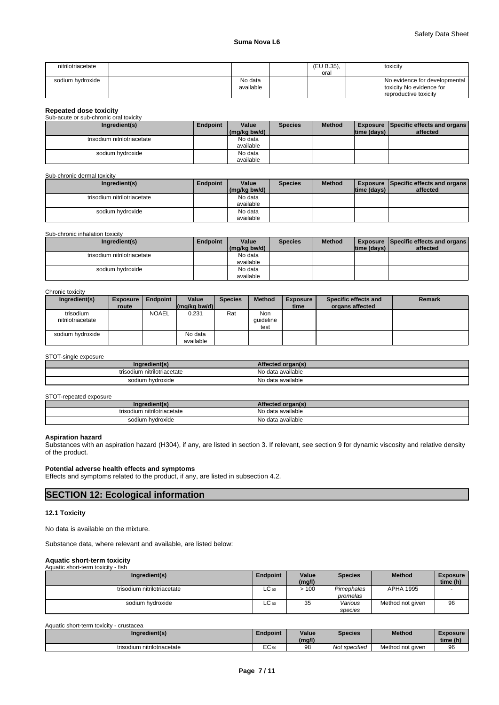| nitrilotriacetate |  |           | (EU B.35), | toxicity                      |
|-------------------|--|-----------|------------|-------------------------------|
|                   |  |           | oral       |                               |
| sodium hydroxide  |  | No data   |            | No evidence for developmental |
|                   |  | available |            | toxicity No evidence for      |
|                   |  |           |            | reproductive toxicity         |

# **Repeated dose toxicity** Sub-acute or sub-chronic oral toxicity

| <u>oud acais of oud childric craftshorn</u> |                 |              |                |               |                         |                                                 |
|---------------------------------------------|-----------------|--------------|----------------|---------------|-------------------------|-------------------------------------------------|
| Ingredient(s)                               | <b>Endpoint</b> | Value        | <b>Species</b> | <b>Method</b> |                         | <b>Exposure   Specific effects and organs  </b> |
|                                             |                 | (mg/kg bw/d) |                |               | time (days) $\parallel$ | affected                                        |
| trisodium nitrilotriacetate                 |                 | No data      |                |               |                         |                                                 |
|                                             |                 | available    |                |               |                         |                                                 |
| sodium hvdroxide                            |                 | No data      |                |               |                         |                                                 |
|                                             |                 | available    |                |               |                         |                                                 |

#### Sub-chronic dermal toxicity

| Ingredient(s)               | <b>Endpoint</b> | Value        | <b>Species</b> | <b>Method</b> |             | <b>Exposure Specific effects and organs</b> |
|-----------------------------|-----------------|--------------|----------------|---------------|-------------|---------------------------------------------|
|                             |                 | (mg/kg bw/d) |                |               | time (days) | affected                                    |
| trisodium nitrilotriacetate |                 | No data      |                |               |             |                                             |
|                             |                 | available    |                |               |             |                                             |
| sodium hvdroxide            |                 | No data      |                |               |             |                                             |
|                             |                 | available    |                |               |             |                                             |

#### Sub-chronic inhalation toxicity

| Ingredient(s)               | <b>Endpoint</b> | Value        | <b>Species</b> | <b>Method</b> |                | <b>Exposure Specific effects and organs</b> |
|-----------------------------|-----------------|--------------|----------------|---------------|----------------|---------------------------------------------|
|                             |                 | (mg/kg bw/d) |                |               | Itime (davs) I | affected                                    |
| trisodium nitrilotriacetate |                 | No data      |                |               |                |                                             |
|                             |                 | available    |                |               |                |                                             |
| sodium hvdroxide            |                 | No data      |                |               |                |                                             |
|                             |                 | available    |                |               |                |                                             |

#### Chronic toxicity

| <u> UNIU NUMUN</u>             |                          |                 |                                                                  |                |                          |                         |                                         |        |
|--------------------------------|--------------------------|-----------------|------------------------------------------------------------------|----------------|--------------------------|-------------------------|-----------------------------------------|--------|
| Ingredient(s)                  | <b>Exposure</b><br>route | <b>Endpoint</b> | Value<br>$\left \frac{\text{mg}}{\text{kg}}\right $ (mg/kg bw/d) | <b>Species</b> | <b>Method</b>            | <b>Exposure</b><br>time | Specific effects and<br>organs affected | Remark |
| trisodium<br>nitrilotriacetate |                          | <b>NOAEL</b>    | 0.231                                                            | Rat            | Non<br>quideline<br>test |                         |                                         |        |
| sodium hvdroxide               |                          |                 | No data<br>available                                             |                |                          |                         |                                         |        |

STOT-single exposure

| .naredient(s                | мa                |
|-----------------------------|-------------------|
| trisodium nitrilotriacetate | No data available |
| sodium hydroxide            | No data available |

#### STOT-repeated exposure

| trisodium nitrilotriacetate | data available                        |
|-----------------------------|---------------------------------------|
| sodium<br>ı hvdroxide       | a available<br>A <sub>0</sub><br>uala |

### **Aspiration hazard**

Substances with an aspiration hazard (H304), if any, are listed in section 3. If relevant, see section 9 for dynamic viscosity and relative density of the product.

### **Potential adverse health effects and symptoms**

Effects and symptoms related to the product, if any, are listed in subsection 4.2.

### **SECTION 12: Ecological information**

#### **12.1 Toxicity**

No data is available on the mixture.

Substance data, where relevant and available, are listed below:

# **Aquatic short-term toxicity** Aquatic short-term toxicity - fish

| <b>AQUALIC SHOLFIEHIT LOXICITY - HSH</b> |                 |                 |                        |                  |                             |
|------------------------------------------|-----------------|-----------------|------------------------|------------------|-----------------------------|
| Ingredient(s)                            | <b>Endpoint</b> | Value<br>(mg/l) | <b>Species</b>         | <b>Method</b>    | <b>Exposure</b><br>time (h) |
| trisodium nitrilotriacetate              | $LC_{50}$       | >100            | Pimephales<br>promelas | <b>APHA 1995</b> |                             |
| sodium hydroxide                         | LC 50           | 35              | Various<br>species     | Method not given | 96                          |

#### Aquatic short-term toxicity - crustacea

| Ingredient(s)                         | Endpoint           | Value<br>(mg/l) | <b>Species</b> | <b>Method</b>    | Exposure<br>time (h) |
|---------------------------------------|--------------------|-----------------|----------------|------------------|----------------------|
| trisodium nitril<br>hitrilotriacetate | $ \sim$<br>50 مائە | 98              | Not specified  | Method not given | ۵F<br>ອບ             |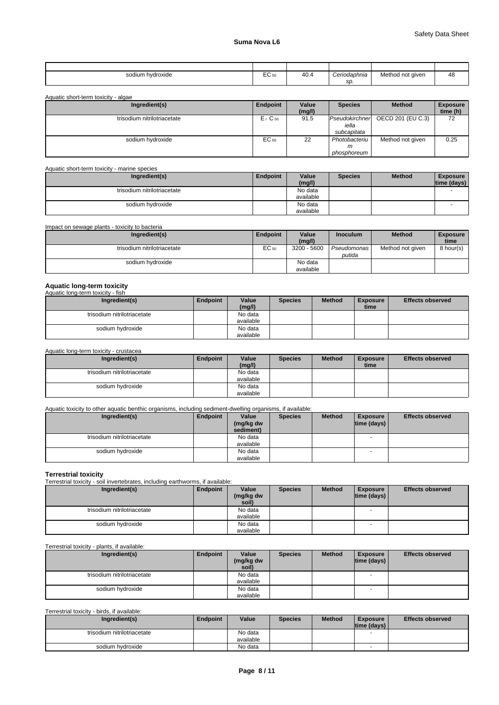| sodium i<br>hvdroxide | $\sim$<br><b>EC 50</b> | 40.4 | Ceriodaphnia | Method not given | 48 |
|-----------------------|------------------------|------|--------------|------------------|----|
|                       |                        |      | SD.          |                  |    |

Aquatic short-term toxicity - algae

| -----                       |             |                 |                |                   |                             |
|-----------------------------|-------------|-----------------|----------------|-------------------|-----------------------------|
| Ingredient(s)               | Endpoint    | Value<br>(mg/l) | <b>Species</b> | <b>Method</b>     | <b>Exposure</b><br>time (h) |
|                             |             |                 |                |                   |                             |
| trisodium nitrilotriacetate | $E1$ C $50$ | 91.5            | Pseudokirchner | OECD 201 (EU C.3) | 72                          |
|                             |             |                 | iella          |                   |                             |
|                             |             |                 | subcapitata    |                   |                             |
| sodium hydroxide            | EC 50       | 22              | Photobacteriu  | Method not given  | 0.25                        |
|                             |             |                 | m              |                   |                             |
|                             |             |                 | phosphoreum    |                   |                             |

Aquatic short-term toxicity - marine species

| Ingredient(s)               | <b>Endpoint</b> | Value     | <b>Species</b> | <b>Method</b> | <b>Exposure</b> |  |
|-----------------------------|-----------------|-----------|----------------|---------------|-----------------|--|
|                             |                 | (mg/l)    |                |               | time (days)     |  |
| trisodium nitrilotriacetate |                 | No data   |                |               |                 |  |
|                             |                 | available |                |               |                 |  |
| sodium hydroxide            |                 | No data   |                |               |                 |  |
|                             |                 | available |                |               |                 |  |

Impact on sewage plants - toxicity to bacteria

| Ingredient(s)               | <b>Endpoint</b> | Value<br>(mg/l)      | <b>Inoculum</b>       | <b>Method</b>    | <b>Exposure</b><br>time |
|-----------------------------|-----------------|----------------------|-----------------------|------------------|-------------------------|
| trisodium nitrilotriacetate | EC 50           | 3200 - 5600          | Pseudomonas<br>putida | Method not given | 8 hour(s)               |
| sodium hydroxide            |                 | No data<br>available |                       |                  |                         |

# **Aquatic long-term toxicity** Aquatic long-term toxicity - fish

| Ingredient(s)               | Endpoint | Value<br>(mg/l)      | <b>Species</b> | <b>Method</b> | <b>Exposure</b><br>time | <b>Effects observed</b> |
|-----------------------------|----------|----------------------|----------------|---------------|-------------------------|-------------------------|
| trisodium nitrilotriacetate |          | No data<br>available |                |               |                         |                         |
| sodium hydroxide            |          | No data<br>available |                |               |                         |                         |

#### Aquatic long-term toxicity - crustacea

| Ingredient(s)               | Endpoint | Value<br>(mg/l) | <b>Species</b> | <b>Method</b> | <b>Exposure</b><br>time | <b>Effects observed</b> |
|-----------------------------|----------|-----------------|----------------|---------------|-------------------------|-------------------------|
| trisodium nitrilotriacetate |          | No data         |                |               |                         |                         |
|                             |          | available       |                |               |                         |                         |
| sodium hydroxide            |          | No data         |                |               |                         |                         |
|                             |          | available       |                |               |                         |                         |

Aquatic toxicity to other aquatic benthic organisms, including sediment-dwelling organisms, if available:

| Ingredient(s)               | Endpoint | Value     | <b>Species</b> | <b>Method</b> | <b>Exposure</b>     | <b>Effects observed</b> |
|-----------------------------|----------|-----------|----------------|---------------|---------------------|-------------------------|
|                             |          | (mg/kg dw |                |               | time (days) $\vert$ |                         |
|                             |          | sediment) |                |               |                     |                         |
| trisodium nitrilotriacetate |          | No data   |                |               |                     |                         |
|                             |          | available |                |               |                     |                         |
| sodium hvdroxide            |          | No data   |                |               |                     |                         |
|                             |          | available |                |               |                     |                         |

#### **Terrestrial toxicity**

Terrestrial toxicity - soil invertebrates, including earthworms, if available:

| Ingredient(s)               | Endpoint | Value<br>(mg/kg dw<br>soil) | <b>Species</b> | <b>Method</b> | <b>Exposure</b><br> time (days) | <b>Effects observed</b> |
|-----------------------------|----------|-----------------------------|----------------|---------------|---------------------------------|-------------------------|
| trisodium nitrilotriacetate |          | No data                     |                |               | $\overline{\phantom{a}}$        |                         |
|                             |          | available                   |                |               |                                 |                         |
| sodium hydroxide            |          | No data                     |                |               |                                 |                         |
|                             |          | available                   |                |               |                                 |                         |

#### Terrestrial toxicity - plants, if available:

| Ingredient(s)               | Endpoint | Value<br>(mg/kg dw | <b>Species</b> | <b>Method</b> | <b>Exposure</b><br> time (days) | <b>Effects observed</b> |  |
|-----------------------------|----------|--------------------|----------------|---------------|---------------------------------|-------------------------|--|
|                             |          | soil)              |                |               |                                 |                         |  |
| trisodium nitrilotriacetate |          | No data            |                |               | $\overline{\phantom{a}}$        |                         |  |
|                             |          | available          |                |               |                                 |                         |  |
| sodium hvdroxide            |          | No data            |                |               |                                 |                         |  |
|                             |          | available          |                |               |                                 |                         |  |

### Terrestrial toxicity - birds, if available:

| Ingredient(s)               | Endpoint | Value     | <b>Species</b> | <b>Method</b> | <b>Exposure</b>    | <b>Effects observed</b> |
|-----------------------------|----------|-----------|----------------|---------------|--------------------|-------------------------|
|                             |          |           |                |               | $ time$ (days) $ $ |                         |
| trisodium nitrilotriacetate |          | No data   |                |               |                    |                         |
|                             |          | available |                |               |                    |                         |
| sodium hydroxide            |          | No data   |                |               |                    |                         |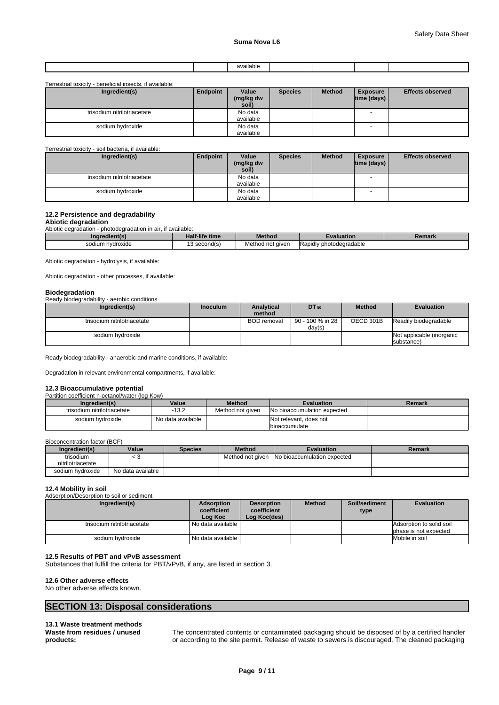|  | $\cdots$<br>available<br>. |  |  |
|--|----------------------------|--|--|
|  |                            |  |  |

Terrestrial toxicity - beneficial insects, if available:

| Ingredient(s)               | Endpoint | Value<br>(mg/kg dw<br>soil) | <b>Species</b> | <b>Method</b> | <b>Exposure</b><br>$ time$ (days) $ $ | <b>Effects observed</b> |
|-----------------------------|----------|-----------------------------|----------------|---------------|---------------------------------------|-------------------------|
| trisodium nitrilotriacetate |          | No data                     |                |               | $\overline{\phantom{a}}$              |                         |
|                             |          | available                   |                |               |                                       |                         |
| sodium hydroxide            |          | No data                     |                |               |                                       |                         |
|                             |          | available                   |                |               |                                       |                         |

#### Terrestrial toxicity - soil bacteria, if available:

| Ingredient(s)               | Endpoint | Value<br>(mg/kg dw<br>soil) | <b>Species</b> | <b>Method</b> | <b>Exposure</b><br>$ time$ (days) $ $ | <b>Effects observed</b> |
|-----------------------------|----------|-----------------------------|----------------|---------------|---------------------------------------|-------------------------|
| trisodium nitrilotriacetate |          | No data                     |                |               |                                       |                         |
|                             |          | available                   |                |               |                                       |                         |
| sodium hydroxide            |          | No data                     |                |               |                                       |                         |
|                             |          | available                   |                |               |                                       |                         |

#### **12.2 Persistence and degradability**

#### **Abiotic degradation**

Abiotic degradation - photodegradation in air, if available:

| Indredi             | Half-life time | <b>Method</b>       | Evaluation                               | 10000<br>четат. |
|---------------------|----------------|---------------------|------------------------------------------|-----------------|
| hvdroxide<br>sodium | second(s)      | Method<br>not given | .<br><b>Rapidly</b><br>/ photodegradable |                 |

Abiotic degradation - hydrolysis, if available:

Abiotic degradation - other processes, if available:

#### **Biodegradation**

Ready biodegradability - aerobic conditions

| Ingredient(s)               | <b>Inoculum</b> | Analytical         | DT 50            | <b>Method</b> | <b>Evaluation</b>         |
|-----------------------------|-----------------|--------------------|------------------|---------------|---------------------------|
|                             |                 | method             |                  |               |                           |
| trisodium nitrilotriacetate |                 | <b>BOD</b> removal | 90 - 100 % in 28 | OECD 301B     | Readily biodegradable     |
|                             |                 |                    | day(s)           |               |                           |
| sodium hydroxide            |                 |                    |                  |               | Not applicable (inorganic |
|                             |                 |                    |                  |               | substance)                |

Ready biodegradability - anaerobic and marine conditions, if available:

Degradation in relevant environmental compartments, if available:

#### **12.3 Bioaccumulative potential**  $\mathsf{P}$ r (log Kow)

| Ingredient(s)               | Value             | <b>Method</b>    | <b>Evaluation</b>                                | Remark |
|-----------------------------|-------------------|------------------|--------------------------------------------------|--------|
| trisodium nitrilotriacetate | $-13.2$           | Method not given | No bioaccumulation expected                      |        |
| sodium hvdroxide            | No data available |                  | INot relevant. does not<br><b>Ibioaccumulate</b> |        |

#### Bioconcentration factor (BCF)

| Ingredient(s)     | Value             | <b>Species</b> | <b>Method</b>    | <b>Evaluation</b>           | Remark |
|-------------------|-------------------|----------------|------------------|-----------------------------|--------|
| trisodium         | ີ                 |                | Method not aiven | No bioaccumulation expected |        |
| nitrilotriacetate |                   |                |                  |                             |        |
| sodium hydroxide  | No data available |                |                  |                             |        |

### **12.4 Mobility in soil**

Adsorption/Desorption to soil or sediment

| Ingredient(s)               | <b>Adsorption</b><br>coefficient<br>Loa Koc | <b>Desorption</b><br>coefficient<br>Log Koc(des) | <b>Method</b> | Soil/sediment<br>type | <b>Evaluation</b>                                 |
|-----------------------------|---------------------------------------------|--------------------------------------------------|---------------|-----------------------|---------------------------------------------------|
| trisodium nitrilotriacetate | I No data available I                       |                                                  |               |                       | Adsorption to solid soil<br>bhase is not expected |
| sodium hvdroxide            | I No data available I                       |                                                  |               |                       | Mobile in soil                                    |

#### **12.5 Results of PBT and vPvB assessment**

Substances that fulfill the criteria for PBT/vPvB, if any, are listed in section 3.

#### **12.6 Other adverse effects**

No other adverse effects known.

### **SECTION 13: Disposal considerations**

#### **13.1 Waste treatment methods Waste from residues / unused products:**

The concentrated contents or contaminated packaging should be disposed of by a certified handler or according to the site permit. Release of waste to sewers is discouraged. The cleaned packaging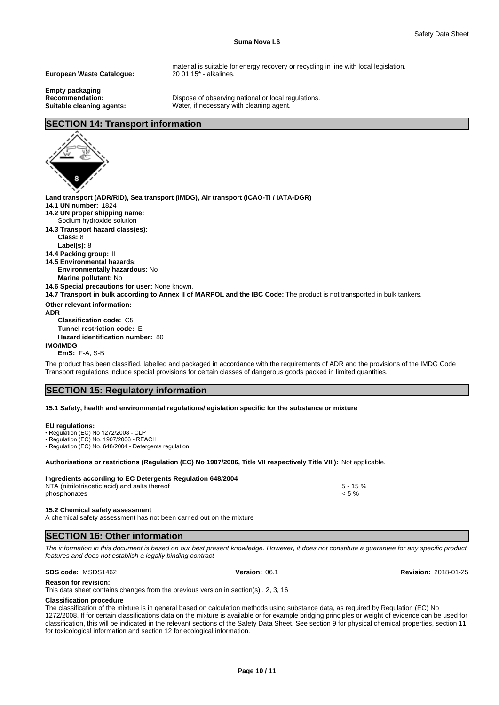#### **Suma Nova L6**

**European Waste Catalogue:** 20 01 15\* - alkalines.

**Empty packaging**

material is suitable for energy recovery or recycling in line with local legislation.

**Recommendation:** Dispose of observing national or local regulations.<br> **Suitable cleaning agents:** Water, if necessary with cleaning agent. Water, if necessary with cleaning agent.

### **SECTION 14: Transport information**

**Land transport (ADR/RID), Sea transport (IMDG), Air transport (ICAO-TI / IATA-DGR) 14.1 UN number:** 1824 **14.2 UN proper shipping name: 14.3 Transport hazard class(es): Class:** 8 **Label(s):** 8 **14.4 Packing group:** II **14.5 Environmental hazards: Environmentally hazardous:** No **Marine pollutant:** No **14.6 Special precautions for user:** None known. **14.7 Transport in bulk according to Annex II of MARPOL and the IBC Code:** The product is not transported in bulk tankers. **Other relevant information: ADR Classification code:** C5 Sodium hydroxide solution

**Tunnel restriction code:** E

**Hazard identification number:** 80

**IMO/IMDG**

**EmS:** F-A, S-B

The product has been classified, labelled and packaged in accordance with the requirements of ADR and the provisions of the IMDG Code Transport regulations include special provisions for certain classes of dangerous goods packed in limited quantities.

### **SECTION 15: Regulatory information**

#### **15.1 Safety, health and environmental regulations/legislation specific for the substance or mixture**

#### **EU regulations:**

• Regulation (EC) No 1272/2008 - CLP

• Regulation (EC) No. 1907/2006 - REACH

• Regulation (EC) No. 648/2004 - Detergents regulation

**Authorisations or restrictions (Regulation (EC) No 1907/2006, Title VII respectively Title VIII):** Not applicable.

| Ingredients according to EC Detergents Regulation 648/2004 |             |
|------------------------------------------------------------|-------------|
| NTA (nitrilotriacetic acid) and salts thereof              | $5 - 15 \%$ |
| phosphonates                                               | $< 5 \%$    |

#### **15.2 Chemical safety assessment**

A chemical safety assessment has not been carried out on the mixture

### **SECTION 16: Other information**

*The information in this document is based on our best present knowledge. However, it does not constitute a guarantee for any specific product features and does not establish a legally binding contract*

#### **SDS code:** MSDS1462 **Version:** 06.1 **Revision:** 2018-01-25

**Reason for revision:** This data sheet contains changes from the previous version in section(s):, 2, 3, 16

### **Classification procedure**

The classification of the mixture is in general based on calculation methods using substance data, as required by Regulation (EC) No 1272/2008. If for certain classifications data on the mixture is available or for example bridging principles or weight of evidence can be used for classification, this will be indicated in the relevant sections of the Safety Data Sheet. See section 9 for physical chemical properties, section 11 for toxicological information and section 12 for ecological information.